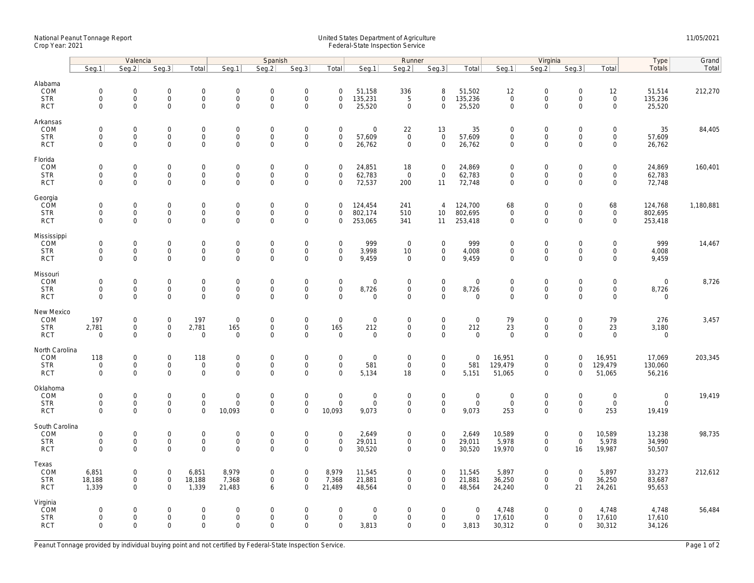## National Peanut Tonnage Report United States Department of Agriculture 11/05/2021<br>Crop Year: 2021 Federal-State Inspection Service

|                                                    | Valencia                                          |                                                           |                                                           |                                      | Spanish                                           |                                                        |                                                           |                                           |                                 | Runner                                                    |                                                    |                                     |                                            | Virginia                                                   |                                        | <b>Type</b>                                  | Grand                             |           |
|----------------------------------------------------|---------------------------------------------------|-----------------------------------------------------------|-----------------------------------------------------------|--------------------------------------|---------------------------------------------------|--------------------------------------------------------|-----------------------------------------------------------|-------------------------------------------|---------------------------------|-----------------------------------------------------------|----------------------------------------------------|-------------------------------------|--------------------------------------------|------------------------------------------------------------|----------------------------------------|----------------------------------------------|-----------------------------------|-----------|
|                                                    | Seg.1                                             | Seq.2                                                     | Seg.3                                                     | Total                                | Seg.1                                             | Seq.2                                                  | Seg.3                                                     | Total                                     | Seg.1                           | Seg.2                                                     | Seg.3                                              | Total                               | Seg.1                                      | Seg.2                                                      | Seg.3                                  | Total                                        | Totals                            | Total     |
| Alabama<br>COM<br><b>STR</b><br><b>RCT</b>         | $\mathsf{O}\xspace$<br>$\mathbf 0$<br>$\mathbf 0$ | $\mathbf 0$<br>$\mathsf{O}\xspace$<br>$\Omega$            | $\mathbf 0$<br>$\mathsf{O}\xspace$<br>$\mathbf 0$         | $\mathbf 0$<br>0<br>$\mathbf{0}$     | $\mathbf 0$<br>$\mathsf 0$<br>$\mathbf 0$         | $\mathbf 0$<br>$\mathsf{O}\xspace$<br>$\mathbf 0$      | $\mathbf 0$<br>$\mathsf{O}\xspace$<br>$\mathbf 0$         | $\mathbf 0$<br>$\mathbf 0$<br>$\Omega$    | 51,158<br>135,231<br>25,520     | 336<br>5<br>$\mathbf 0$                                   | 8<br>$\mathbf 0$<br>$\mathbf 0$                    | 51,502<br>135,236<br>25,520         | 12<br>$\mathsf{O}\xspace$<br>$\Omega$      | $\mathsf{O}\xspace$<br>$\mathbf 0$<br>$\mathbf 0$          | 0<br>$\mathbf 0$<br>$\Omega$           | 12<br>$\mathsf 0$<br>$\mathbf{0}$            | 51,514<br>135,236<br>25,520       | 212,270   |
| Arkansas<br>COM<br><b>STR</b><br><b>RCT</b>        | $\mathbf 0$<br>$\mathbf 0$<br>$\mathbf 0$         | 0<br>$\mathsf{O}\xspace$<br>$\Omega$                      | $\mathbf 0$<br>$\mathsf{O}\xspace$<br>$\mathbf 0$         | $\mathbf{0}$<br>0<br>0               | $\mathsf{O}\xspace$<br>$\mathsf 0$<br>$\mathbf 0$ | $\mathbf 0$<br>$\mathsf{O}\xspace$<br>$\mathbf 0$      | $\mathbf 0$<br>$\mathsf{O}\xspace$<br>$\mathbf 0$         | $\mathbf 0$<br>$\mathbf 0$<br>$\mathbf 0$ | $\mathbf 0$<br>57,609<br>26,762 | 22<br>$\mathbf 0$<br>$\mathbf 0$                          | 13<br>$\mathsf{O}$<br>$\mathbf 0$                  | 35<br>57,609<br>26,762              | $\mathbf 0$<br>$\mathbf 0$<br>$\Omega$     | $\mathbf 0$<br>$\mathbf 0$<br>$\mathbf 0$                  | $\mathbf 0$<br>0<br>$\Omega$           | $\mathbf 0$<br>$\mathbf 0$<br>$\mathbf{0}$   | 35<br>57,609<br>26,762            | 84,405    |
| Florida<br>COM<br><b>STR</b><br><b>RCT</b>         | $\mathsf{O}\xspace$<br>$\mathbf 0$<br>$\mathbf 0$ | 0<br>$\mathsf{O}\xspace$<br>$\mathbf 0$                   | $\mathsf{O}\xspace$<br>$\mathbf 0$<br>$\mathbf 0$         | 0<br>0<br>0                          | $\mathbf 0$<br>$\mathbf 0$<br>$\mathbf 0$         | $\mathbf 0$<br>$\mathbf 0$<br>$\mathbf 0$              | $\mathsf{O}\xspace$<br>$\mathsf{O}\xspace$<br>$\mathbf 0$ | $\mathbf 0$<br>0<br>$\mathbf 0$           | 24,851<br>62,783<br>72,537      | 18<br>$\mathbf 0$<br>200                                  | $\mathbf 0$<br>$\mathbf 0$<br>11                   | 24,869<br>62,783<br>72,748          | $\mathbf 0$<br>$\mathbf{0}$<br>$\mathbf 0$ | $\mathsf{O}\xspace$<br>$\mathbf 0$<br>$\mathbf 0$          | 0<br>$\mathbf 0$<br>$\mathbf 0$        | $\overline{0}$<br>$\mathbf 0$<br>$\mathbf 0$ | 24,869<br>62,783<br>72,748        | 160,401   |
| Georgia<br>COM<br><b>STR</b><br><b>RCT</b>         | $\mathsf{O}\xspace$<br>$\mathbf 0$<br>$\mathbf 0$ | $\mathbf 0$<br>$\mathsf{O}\xspace$<br>$\mathbf 0$         | $\mathbf 0$<br>$\mathbf 0$<br>$\mathbf 0$                 | 0<br>$\overline{0}$<br>$\mathbf{0}$  | $\mathbf 0$<br>$\mathsf{O}\xspace$<br>$\mathbf 0$ | $\mathbf 0$<br>$\mathsf 0$<br>$\mathbf 0$              | $\mathsf{O}\xspace$<br>$\mathsf 0$<br>$\mathbf 0$         | $\mathbf 0$<br>$\mathbf 0$<br>$\mathbf 0$ | 124,454<br>802,174<br>253,065   | 241<br>510<br>341                                         | $\overline{4}$<br>10<br>11                         | 124,700<br>802,695<br>253,418       | 68<br>$\mathbf 0$<br>$\mathbf 0$           | $\mathsf{O}\xspace$<br>$\mathbf{0}$<br>$\mathbf 0$         | 0<br>$\mathbf 0$<br>$\mathbf 0$        | 68<br>$\mathsf{O}\xspace$<br>$\mathbf{0}$    | 124,768<br>802,695<br>253,418     | 1,180,881 |
| Mississippi<br>COM<br><b>STR</b><br><b>RCT</b>     | $\mathbf 0$<br>$\mathbf 0$<br>$\mathbf 0$         | $\mathbf 0$<br>$\mathsf{O}\xspace$<br>$\mathbf 0$         | $\mathbf 0$<br>$\mathbf 0$<br>$\mathbf 0$                 | $\mathbf{0}$<br>0<br>0               | $\mathbf 0$<br>$\mathsf{O}$<br>$\mathbf 0$        | $\mathbf 0$<br>$\mathsf{O}\xspace$<br>$\mathbf 0$      | $\mathbf 0$<br>$\mathsf 0$<br>$\mathbf 0$                 | $\mathbf 0$<br>$\mathbf 0$<br>$\mathbf 0$ | 999<br>3,998<br>9,459           | $\mathbf 0$<br>10 <sup>°</sup><br>$\mathbf 0$             | $\mathbf 0$<br>$\mathsf 0$<br>$\mathbf 0$          | 999<br>4,008<br>9,459               | $\mathbf 0$<br>$\mathbf 0$<br>0            | $\mathbf 0$<br>$\mathsf{O}$<br>$\mathbf 0$                 | $\mathbf 0$<br>0<br>$\mathbf 0$        | $\mathbf 0$<br>$\mathbf 0$<br>$\mathbf 0$    | 999<br>4,008<br>9,459             | 14,467    |
| Missouri<br>COM<br><b>STR</b><br><b>RCT</b>        | $\mathsf{O}\xspace$<br>$\mathbf 0$<br>$\mathbf 0$ | $\mathsf{O}\xspace$<br>$\mathsf{O}\xspace$<br>$\mathbf 0$ | $\mathsf{O}\xspace$<br>$\mathbf 0$<br>$\mathbf 0$         | 0<br>0<br>0                          | $\mathbf 0$<br>$\mathsf 0$<br>$\mathbf 0$         | $\mathbf 0$<br>$\mathbf 0$<br>$\mathbf 0$              | $\mathsf{O}\xspace$<br>$\mathsf{O}\xspace$<br>$\mathbf 0$ | $\mathbf 0$<br>$\mathbf 0$<br>$\Omega$    | 0<br>8,726<br>$\mathbf 0$       | $\mathbf 0$<br>$\overline{0}$<br>$\mathbf 0$              | $\mathsf 0$<br>$\mathsf{O}\xspace$<br>$\mathbf{0}$ | $\mathbf 0$<br>8,726<br>$\mathbf 0$ | $\mathbf 0$<br>$\Omega$<br>$\Omega$        | $\mathsf{O}\xspace$<br>$\mathbf 0$<br>$\mathbf 0$          | $\mathbf 0$<br>0<br>$\mathbf 0$        | 0<br>0<br>$\mathbf 0$                        | $\mathsf{O}\xspace$<br>8,726<br>0 | 8,726     |
| New Mexico<br>COM<br><b>STR</b><br><b>RCT</b>      | 197<br>2,781<br>$\mathbf 0$                       | 0<br>$\mathsf{O}\xspace$<br>$\Omega$                      | $\mathsf{O}\xspace$<br>$\mathbf 0$<br>$\mathsf{O}\xspace$ | 197<br>2,781<br>$\mathbf 0$          | $\mathsf 0$<br>165<br>$\mathsf 0$                 | $\boldsymbol{0}$<br>$\mathbf 0$<br>$\mathsf{O}\xspace$ | $\mathsf{O}\xspace$<br>$\mathbf 0$<br>$\Omega$            | $\mathbf 0$<br>165<br>$\Omega$            | 0<br>212<br>0                   | $\mathsf 0$<br>$\mathsf 0$<br>$\mathbf 0$                 | $\mathsf 0$<br>$\mathbf 0$<br>$\mathbf 0$          | $\mathbf 0$<br>212<br>$\mathbf 0$   | 79<br>23<br>$\Omega$                       | $\mathsf{O}\xspace$<br>$\mathbf{0}$<br>$\mathsf{O}\xspace$ | 0<br>$\mathbf 0$<br>$\Omega$           | 79<br>23<br>$\mathbf 0$                      | 276<br>3,180<br>0                 | 3,457     |
| North Carolina<br>COM<br><b>STR</b><br><b>RCT</b>  | 118<br>$\mathsf{O}\xspace$<br>$\mathbf 0$         | 0<br>$\mathsf{O}\xspace$<br>$\Omega$                      | $\mathbf 0$<br>$\mathbf 0$<br>$\mathbf 0$                 | 118<br>$\mathbf 0$<br>$\mathbf 0$    | $\mathbf 0$<br>$\mathsf{O}$<br>$\mathbf 0$        | $\mathbf 0$<br>$\mathbf 0$<br>$\mathbf 0$              | $\mathbf 0$<br>$\mathsf{O}\xspace$<br>$\Omega$            | $\mathbf 0$<br>$\mathbf 0$<br>$\Omega$    | 0<br>581<br>5,134               | $\overline{0}$<br>$\mathbf 0$<br>18                       | $\mathbf 0$<br>$\mathbf 0$<br>$\mathbf{0}$         | $\Omega$<br>581<br>5,151            | 16,951<br>129,479<br>51,065                | $\mathsf{O}\xspace$<br>$\mathsf{O}$<br>$\mathbf{0}$        | 0<br>$\mathbf 0$<br>$\mathbf 0$        | 16,951<br>129,479<br>51,065                  | 17,069<br>130,060<br>56,216       | 203,345   |
| Oklahoma<br>COM<br><b>STR</b><br><b>RCT</b>        | $\mathbf 0$<br>$\mathbf 0$<br>$\Omega$            | $\mathbf 0$<br>$\mathsf{O}\xspace$<br>$\Omega$            | $\mathbf 0$<br>$\mathbf 0$<br>$\mathbf 0$                 | $\mathbf{0}$<br>$\mathsf{O}$<br>0    | $\mathbf 0$<br>$\mathsf 0$<br>10,093              | $\mathbf 0$<br>$\mathbf 0$<br>$\mathbf 0$              | $\mathbf 0$<br>$\mathsf{O}\xspace$<br>$\Omega$            | $\mathbf 0$<br>$\mathbf 0$<br>10,093      | $\mathbf 0$<br>0<br>9,073       | $\mathbf 0$<br>$\mathsf 0$<br>$\mathbf 0$                 | $\mathbf 0$<br>$\mathsf{O}\xspace$<br>$\mathbf 0$  | $\mathbf 0$<br>$\mathbf 0$<br>9,073 | $\mathbf 0$<br>$\mathbf 0$<br>253          | $\mathbf 0$<br>$\mathsf{O}\xspace$<br>$\mathbf 0$          | $\mathbf 0$<br>$\mathbf 0$<br>$\Omega$ | $\mathbf 0$<br>$\mathsf 0$<br>253            | 0<br>0<br>19,419                  | 19,419    |
| South Carolina<br>COM<br><b>STR</b><br><b>RCT</b>  | $\mathsf{O}\xspace$<br>$\mathbf 0$<br>$\mathbf 0$ | $\mathsf 0$<br>$\mathbf 0$<br>$\mathbf 0$                 | $\mathsf{O}\xspace$<br>$\mathsf{O}\xspace$<br>$\mathbf 0$ | $\mathbf 0$<br>$\boldsymbol{0}$<br>0 | $\mathbf 0$<br>$\mathbf 0$<br>$\mathbf 0$         | $\mathbf 0$<br>$\mathsf{O}\xspace$<br>$\mathbf 0$      | $\mathsf{O}\xspace$<br>$\mathsf{O}\xspace$<br>$\mathbf 0$ | $\mathbf 0$<br>$\mathbf 0$<br>$\mathbf 0$ | 2,649<br>29,011<br>30,520       | $\mathsf{O}\xspace$<br>$\mathbf 0$<br>$\overline{0}$      | $\mathsf 0$<br>$\mathbf 0$<br>$\mathbf 0$          | 2,649<br>29,011<br>30,520           | 10,589<br>5,978<br>19,970                  | $\mathsf{O}\xspace$<br>$\mathsf{O}$<br>$\mathbf 0$         | $\mathbf 0$<br>$\mathbf 0$<br>16       | 10,589<br>5,978<br>19,987                    | 13,238<br>34,990<br>50,507        | 98,735    |
| Texas<br>COM<br><b>STR</b><br><b>RCT</b>           | 6,851<br>18,188<br>1,339                          | 0<br>$\mathsf{O}\xspace$<br>$\Omega$                      | $\mathsf{O}\xspace$<br>$\mathsf{O}\xspace$<br>$\Omega$    | 6,851<br>18,188<br>1,339             | 8,979<br>7,368<br>21,483                          | $\mathbf 0$<br>$\mathsf{O}\xspace$<br>6                | $\mathbf 0$<br>$\mathsf 0$<br>$\Omega$                    | 8,979<br>7,368<br>21,489                  | 11,545<br>21,881<br>48,564      | $\mathsf{O}\xspace$<br>$\mathsf{O}\xspace$<br>$\mathbf 0$ | $\mathbf 0$<br>$\mathbf 0$<br>$\mathbf 0$          | 11,545<br>21,881<br>48,564          | 5,897<br>36,250<br>24,240                  | $\mathsf{O}\xspace$<br>$\mathsf{O}\xspace$<br>$\mathbf 0$  | $\mathbf 0$<br>$\mathbf 0$<br>21       | 5,897<br>36,250<br>24,261                    | 33,273<br>83,687<br>95,653        | 212,612   |
| Virginia<br><b>COM</b><br><b>STR</b><br><b>RCT</b> | $\mathbf 0$<br>$\mathsf{O}\xspace$<br>$\mathbf 0$ | $\mathbf 0$<br>$\mathsf 0$<br>$\mathbf 0$                 | $\mathbf 0$<br>$\mathsf{O}\xspace$<br>$\mathbf 0$         | $\mathbf 0$<br>0<br>0                | $\Omega$<br>$\mathbf 0$<br>$\mathbf 0$            | $\mathbf 0$<br>$\mathsf{O}\xspace$<br>$\mathbf 0$      | $\mathbf 0$<br>$\mathsf{O}\xspace$<br>$\mathbf 0$         | $\mathbf 0$<br>$\mathbf 0$<br>$\mathbf 0$ | $\mathbf 0$<br>0<br>3,813       | $\overline{0}$<br>$\mathbf 0$<br>$\mathbf 0$              | $\mathbf{0}$<br>$\mathbf 0$<br>$\mathbf 0$         | $\mathbf 0$<br>$\mathbf 0$<br>3,813 | 4,748<br>17,610<br>30,312                  | $\mathbf 0$<br>$\mathbf 0$<br>$\mathbf 0$                  | $\Omega$<br>0<br>$\mathbf 0$           | 4,748<br>17,610<br>30,312                    | 4,748<br>17,610<br>34,126         | 56,484    |

Peanut Tonnage provided by individual buying point and not certified by Federal-State Inspection Service. Page 1 of 2